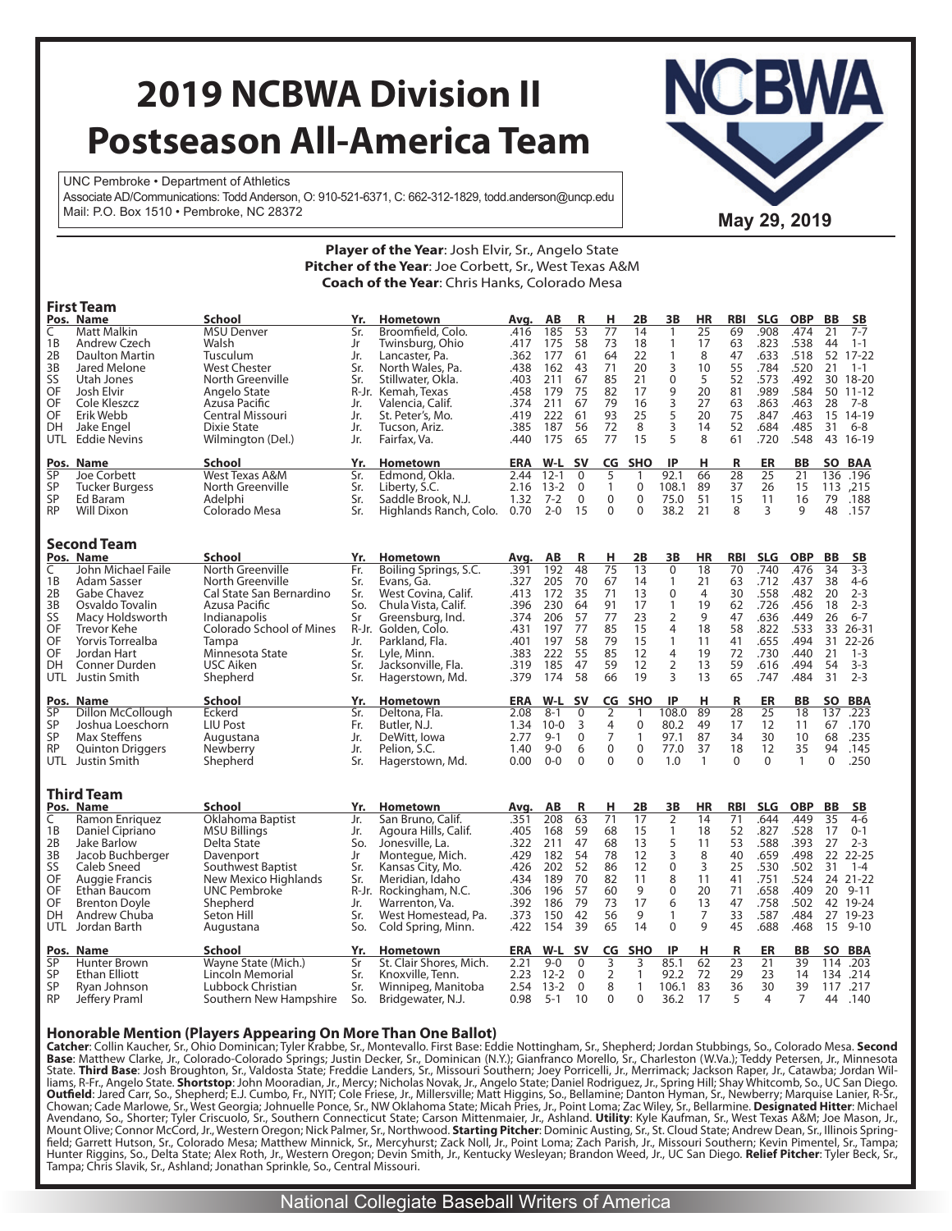# **2019 NCBWA Division II Postseason All-America Team**

UNC Pembroke • Department of Athletics Associate AD/Communications: Todd Anderson, O: 910-521-6371, C: 662-312-1829, todd.anderson@uncp.edu Mail: P.O. Box 1510 • Pembroke, NC 28372 **May 29, 2019 May 29, 2019** 



|                 |                                |                          |     | $\sim$ 1976. Of the Team soon Environment and State<br>Pitcher of the Year: Joe Corbett, Sr., West Texas A&M |              |                    |                  |                                  |                          |                  |                |            |                |              |             |              |
|-----------------|--------------------------------|--------------------------|-----|--------------------------------------------------------------------------------------------------------------|--------------|--------------------|------------------|----------------------------------|--------------------------|------------------|----------------|------------|----------------|--------------|-------------|--------------|
|                 |                                |                          |     | <b>Coach of the Year:</b> Chris Hanks, Colorado Mesa                                                         |              |                    |                  |                                  |                          |                  |                |            |                |              |             |              |
|                 | <b>First Team</b>              |                          |     |                                                                                                              |              |                    |                  |                                  |                          |                  |                |            |                |              |             |              |
|                 | Pos. Name                      | School                   | Yr. | <b>Hometown</b>                                                                                              | Avg.         | AB                 | R                | н                                | 2Β                       | 3В               | <b>HR</b>      | <b>RBI</b> | <b>SLG</b>     | <b>OBP</b>   | BB          | <b>SB</b>    |
| C               | Matt Malkin                    | <b>MSU Denver</b>        | Sr. | Broomfield, Colo.                                                                                            | .416         | 185                | 53               | 77                               | 14                       | $\mathbf{1}$     | 25             | 69         | .908           | .474         | 21          | $7 - 7$      |
| 1B              | Andrew Czech                   | Walsh                    | Jr  | Twinsburg, Ohio                                                                                              | .417         | 175                | 58               | 73                               | 18                       | $\mathbf{1}$     | 17             | 63         | .823           | .538         | 44          | $1 - 1$      |
| 2B              | <b>Daulton Martin</b>          | Tusculum                 | Jr. | Lancaster, Pa.                                                                                               | .362         | 177                | 61               | 64                               | 22                       | $\mathbf{1}$     | 8              | 47         | .633           | .518         |             | 52 17-22     |
| 3B              | Jared Melone                   | <b>West Chester</b>      | Sr. | North Wales, Pa.                                                                                             | .438         | 162                | 43               | 71                               | 20                       | 3                | 10             | 55         | .784           | .520         | 21          | $1 - 1$      |
| SS              | Utah Jones                     | North Greenville         | Sr. | Stillwater, Okla.                                                                                            | .403         | 211                | 67               | 85                               | 21                       | $\mathbf 0$      | 5              | 52         | .573           | .492         | 30          | $18 - 20$    |
| OF              | Josh Elvir                     | Angelo State             |     | R-Jr. Kemah, Texas                                                                                           | .458         | 179                | 75               | 82                               | 17                       |                  | 20             | 81         | .989           | .584         |             | 50 11-12     |
| OF              | Cole Kleszcz                   | Azusa Pacific            | Jr. | Valencia, Calif.                                                                                             | .374         | 211                | 67               | 79                               | 16                       | 9<br>3           | 27             | 63         | .863           | .463         | 28          | 7-8          |
| OF              | Erik Webb                      | Central Missouri         | Jr. | St. Peter's, Mo.                                                                                             | .419         | 222                | 61               | 93                               | 25                       | 5                | 20             | 75         | .847           | .463         | 15          | 14-19        |
| DH              | Jake Engel                     | <b>Dixie State</b>       | Jr. | Tucson, Ariz.                                                                                                | .385         | 187                | 56               | 72                               | 8                        | 3                | 14             | 52         | .684           | .485         | 31          | $6 - 8$      |
| UTL.            | <b>Eddie Nevins</b>            | Wilmington (Del.)        | Jr. | Fairfax, Va.                                                                                                 | .440         | 175                | 65               | 77                               | 15                       | 5                | 8              | 61         | .720           | .548         |             | 43 16-19     |
|                 | Pos. Name                      | School                   | Yr. |                                                                                                              | ERA          | W-L                | <b>SV</b>        | CG                               | <b>SHO</b>               | IP               | н              | R          | ER             | BB           |             | SO BAA       |
| SP              | Joe Corbett                    | West Texas A&M           | Sr. | <b>Hometown</b><br>Edmond, Okla.                                                                             | 2.44         | $12 - 1$           | $\mathbf{0}$     | 5                                | 1                        | 92.1             | 66             | 28         | 25             | 21           |             | 136.196      |
| SP              | <b>Tucker Burgess</b>          | North Greenville         | Sr. | Liberty, S.C.                                                                                                | 2.16         | $13 - 2$           | $\mathbf 0$      | $\mathbf{1}$                     | $\mathbf 0$              | 108.1            | 89             | 37         | 26             | 15           |             | 113, 215     |
| SP              | Ed Baram                       | Adelphi                  | Sr. | Saddle Brook, N.J.                                                                                           | 1.32         | $7 - 2$            | $\mathbf 0$      | $\mathbf 0$                      | $\mathbf 0$              | 75.0             | 51             | 15         | 11             | 16           | 79          | .188         |
| <b>RP</b>       | <b>Will Dixon</b>              | Colorado Mesa            | Sr. | Highlands Ranch, Colo. 0.70                                                                                  |              | $2 - 0$            | 15               | $\Omega$                         | $\Omega$                 | 38.2             | 21             | 8          | 3              | 9            | 48          | .157         |
|                 |                                |                          |     |                                                                                                              |              |                    |                  |                                  |                          |                  |                |            |                |              |             |              |
|                 | Second Team                    |                          |     |                                                                                                              |              |                    |                  |                                  |                          |                  |                |            |                |              |             |              |
|                 | Pos. Name                      | <b>School</b>            | Yr. | Hometown                                                                                                     | Avg.         | AB                 | R                | <u>н</u>                         | 2Β                       | 3В               | HR             | <b>RBI</b> | <b>SLG</b>     | <b>OBP</b>   | BB          | SΒ           |
| C               | John Michael Faile             | North Greenville         | Fr. | Boiling Springs, S.C.                                                                                        | .391         | 192                | 48               | 75                               | 13                       | $\overline{0}$   | 18             | 70         | .740           | .476         | 34          | $3 - 3$      |
| 1Β              | Adam Sasser                    | North Greenville         | Sr. | Evans, Ga.                                                                                                   | .327         | 205                | 70               | 67                               | 14                       | $\mathbf{1}$     | 21             | 63         | .712           | .437         | 38          | $4-6$        |
| 2B              | Gabe Chavez                    | Cal State San Bernardino | Sr. | West Covina, Calif.                                                                                          | .413         | 172                | 35               | 71                               | 13                       | $\mathbf 0$      | 4              | 30         | .558           | .482         | 20          | $2 - 3$      |
| 3B              | Osvaldo Tovalin                | Azusa Pacific            | So. | Chula Vista, Calif.                                                                                          | .396         | 230                | 64               | 91                               | 17                       | $\mathbf{1}$     | 19             | 62         | .726           | .456         | 18          | $2 - 3$      |
| SS              | Macy Holdsworth                | Indianapolis             | Sr  | Greensburg, Ind.                                                                                             | .374         | 206                | 57               | 77                               | 23                       | 2                | 9              | 47         | .636           | .449         | 26          | $6 - 7$      |
| OF              | Trevor Kehe                    | Colorado School of Mines |     | R-Jr. Golden, Colo.                                                                                          | .431         | 197                | 77               | 85                               | 15                       | $\overline{4}$   | 18             | 58         | .822           | .533         |             | 33 26-31     |
| OF              | Yorvis Torrealba               | Tampa                    | Jr. | Parkland, Fla.                                                                                               | .401         | 197                | 58               | 79                               | 15                       | $\mathbf{1}$     | 11             | 41         | .655           | .494         |             | 31 22-26     |
| OF              | Jordan Hart                    | Minnesota State          | Sr. | Lyle, Minn.                                                                                                  | .383         | 222                | 55               | 85                               | 12                       | $\overline{4}$   | 19             | 72         | .730           | .440         | 21          | $1 - 3$      |
| DН              | Conner Durden                  | USC Aiken                | Sr. | Jacksonville, Fla.                                                                                           | .319         | 185                | 47               | 59                               | 12                       | $\overline{2}$   | 13             | 59         | .616           | .494         | 54          | $3 - 3$      |
| <b>UTL</b>      | Justin Smith                   | Shepherd                 | Sr. | Hagerstown, Md.                                                                                              | .379         | 174                | 58               | 66                               | 19                       | 3                | 13             | 65         | .747           | .484         | 31          | $2 - 3$      |
|                 |                                |                          |     |                                                                                                              |              |                    |                  |                                  |                          |                  |                |            |                |              |             |              |
| Pos.            | Name                           | School                   | Yr. | <b>Hometown</b>                                                                                              | <b>ERA</b>   | $W-L$              | <b>SV</b>        | CG                               | <b>SHO</b>               | IP               | н              | R          | ER             | <b>BB</b>    |             | SO BBA       |
| SP              | Dillon McCollough              | Eckerd                   | Sr. | Deltona, Fla.                                                                                                | 2.08         | $8 - 1$            | 0                | $\overline{2}$                   | $\mathbf{1}$             | 108.0            | 89             | 28         | 25             | 18           |             | 137 .223     |
| SP              | Joshua Loeschorn               | <b>LIU Post</b>          | Fr. | Butler, N.J.                                                                                                 | 1.34         | $10-0$             | 3                | $\overline{4}$<br>$\overline{7}$ | $\mathbf 0$              | 80.2             | 49             | 17         | 12             | 11           |             | 67.170       |
| SP<br><b>RP</b> | Max Steffens                   | Augustana                | Jr. | DeWitt, Iowa                                                                                                 | 2.77<br>1.40 | $9 - 1$<br>$9 - 0$ | $\mathbf 0$<br>6 | $\mathbf 0$                      | $\mathbf{1}$<br>$\Omega$ | 97.1<br>77.0     | 87<br>37       | 34<br>18   | 30<br>12       | 10<br>35     | 68<br>94    | .235<br>.145 |
|                 | <b>Quinton Driggers</b>        | Newberry                 | Jr. | Pelion, S.C.                                                                                                 |              | $0-0$              | $\mathbf 0$      | $\mathbf 0$                      | $\mathbf 0$              | 1.0              | $\mathbf{1}$   | $\Omega$   | $\Omega$       | $\mathbf{1}$ | $\mathbf 0$ | .250         |
|                 | UTL Justin Smith               | Shepherd                 | Sr. | Hagerstown, Md.                                                                                              | $0.00\,$     |                    |                  |                                  |                          |                  |                |            |                |              |             |              |
|                 |                                |                          |     |                                                                                                              |              |                    |                  |                                  |                          |                  |                |            |                |              |             |              |
|                 | <b>Third Team</b><br>Pos. Name | School                   | Yr. | Hometown                                                                                                     | Avg.         | AB                 | R                | н                                | 2Β                       | 3В               | HR             | RBI        | <b>SLG</b>     | <b>OBP</b>   | BB          | SB           |
| C               | Ramon Enriquez                 | Oklahoma Baptist         | Jr. | San Bruno, Calif.                                                                                            | .351         | 208                | 63               | $\overline{71}$                  | 17                       | $\overline{2}$   | 14             | 71         | .644           | .449         | 35          | $4-6$        |
| 1B              | Daniel Cipriano                | MSU Billings             | Jr. | Agoura Hills, Calif.                                                                                         | .405         | 168                | 59               | 68                               | 15                       | $\mathbf{1}$     | 18             | 52         | .827           | .528         | 17          | $0 - 1$      |
| 2B              | Jake Barlow                    | Delta State              | So. | Jonesville, La.                                                                                              | .322         | 211                | 47               | 68                               | 13                       |                  | 11             | 53         | .588           | .393         | 27          | $2 - 3$      |
| 3B              | Jacob Buchberger               | Davenport                | Jr  | Montegue, Mich.                                                                                              | .429         | 182                | 54               | 78                               | 12                       | $\frac{5}{3}$    | 8              | 40         | .659           | .498         |             | 22 22-25     |
| SS              | Caleb Sneed                    | Southwest Baptist        | Sr. | Kansas City, Mo.                                                                                             | .426         | 202                | 52               | 86                               | 12                       | $\boldsymbol{0}$ | $\overline{3}$ | 25         | .530           | .502         | 31          | $1 - 4$      |
| OF              | Auggie Francis                 | New Mexico Highlands     | Sr. | Meridian, Idaho                                                                                              | .434         | 189                | 70               | 82                               | 11                       | 8                | 11             | 41         | .751           | .524         |             | 24 21-22     |
| OF              | Ethan Baucom                   | <b>UNC Pembroke</b>      |     | R-Jr. Rockingham, N.C.                                                                                       | .306         | 196                | 57               | 60                               | 9                        | $\mathbf 0$      | 20             | 71         | .658           | .409         | 20          | $9 - 11$     |
| OF              | <b>Brenton Doyle</b>           | Shepherd                 | Jr. | Warrenton, Va.                                                                                               | .392         | 186                | 79               | 73                               | 17                       | 6                | 13             | 47         | .758           | .502         |             | 42 19-24     |
| DH              | Andrew Chuba                   | Seton Hill               | Sr. | West Homestead, Pa.                                                                                          | .373         | 150                | 42               | 56                               | 9                        | $\mathbf{1}$     | $\overline{7}$ | 33         | .587           | .484         |             | 27 19-23     |
| UTL.            | Jordan Barth                   | Augustana                | So. | Cold Spring, Minn.                                                                                           | .422         | 154                | 39               | 65                               | 14                       | $\mathbf{0}$     | 9              | 45         | .688           | .468         | 15          | $9 - 10$     |
|                 |                                |                          |     |                                                                                                              |              |                    |                  |                                  |                          |                  |                |            |                |              |             |              |
|                 | Pos. Name                      | School                   | Yr. | <b>Hometown</b>                                                                                              | <b>ERA</b>   | W-L                | <b>SV</b>        | CG                               | <b>SHO</b>               | IP               | н              | R          | ER             | BB           |             | SO BBA       |
| SP              | Hunter Brown                   | Wayne State (Mich.)      | Sr  | St. Clair Shores, Mich.                                                                                      | 2.21         | $9 - 0$            | 0                | 3                                | 3                        | 85.1             | 62             | 23         | 21             | 39           |             | 114 .203     |
| SP              | <b>Ethan Elliott</b>           | Lincoln Memorial         | Sr. | Knoxville, Tenn.                                                                                             |              | $2.23$ 12-2        | $\Omega$         | $\overline{2}$                   | $\mathbf{1}$             | 92.2             | 72             | 29         | 23             | 14           |             | 134 .214     |
| SP              | Ryan Johnson                   | Lubbock Christian        | Sr. | Winnipeg, Manitoba                                                                                           |              | 2.54 13-2          | $\mathbf 0$      | 8                                | $\mathbf{1}$             | 106.1            | 83             | 36         | 30             | 39           |             | 117.217      |
| <b>RP</b>       | Jeffery Praml                  | Southern New Hampshire   | So. | Bridgewater, N.J.                                                                                            | 0.98         | $5 - 1$            | 10               | $\Omega$                         | $\Omega$                 | 36.2             | 17             | 5          | $\overline{4}$ | 7            |             | 44 .140      |

**Player of the Year:** Josh Elvir, Sr., Angelo State

**Honorable Mention (Players Appearing On More Than One Ballot)**<br>**Catcher**: Collin Kaucher, Sr., Ohio Dominican; Tyler Krabbe, Sr., Montevallo. First Base: Eddie Nottingham, Sr., Shepherd; Jordan Stubbings, So., Colorado Me **Base**: Matthew Clarke, Jr., Colorado-Colorado Šprings; Justin Decker, Sr., Dominican (N.Y.); Gianfranco Morello, Sr., Charleston (W.Va.); Teddy Petersen, Jr., Minnesota<br>State. **Third Base**: Josh Broughton, Sr., Valdosta S **Outfield**: Jared Carr, So., Shepherd; E.J. Cumbo, Fr., NYIT; Cole Friese, Jr., Millersville; Matt Higgins, So., Bellamine; Danton Hyman, Sr., Newberry; Marquise Lanier, R-Šr.,<br>Chowan; Cade Marlowe, Sr., West Georgia; John Mount Olive; Connor McCord, Jr., Western Oregon; Nick Palmer, Sr., Northwood. **Starting Pitcher**: Dominic Austing, Sr., St. Cloud State; Andrew Dean, Sr., Illinois Spring-<br>field; Garrett Hutson, Sr., Colorado Mesa; Matthew Tampa; Chris Slavik, Sr., Ashland; Jonathan Sprinkle, So., Central Missouri.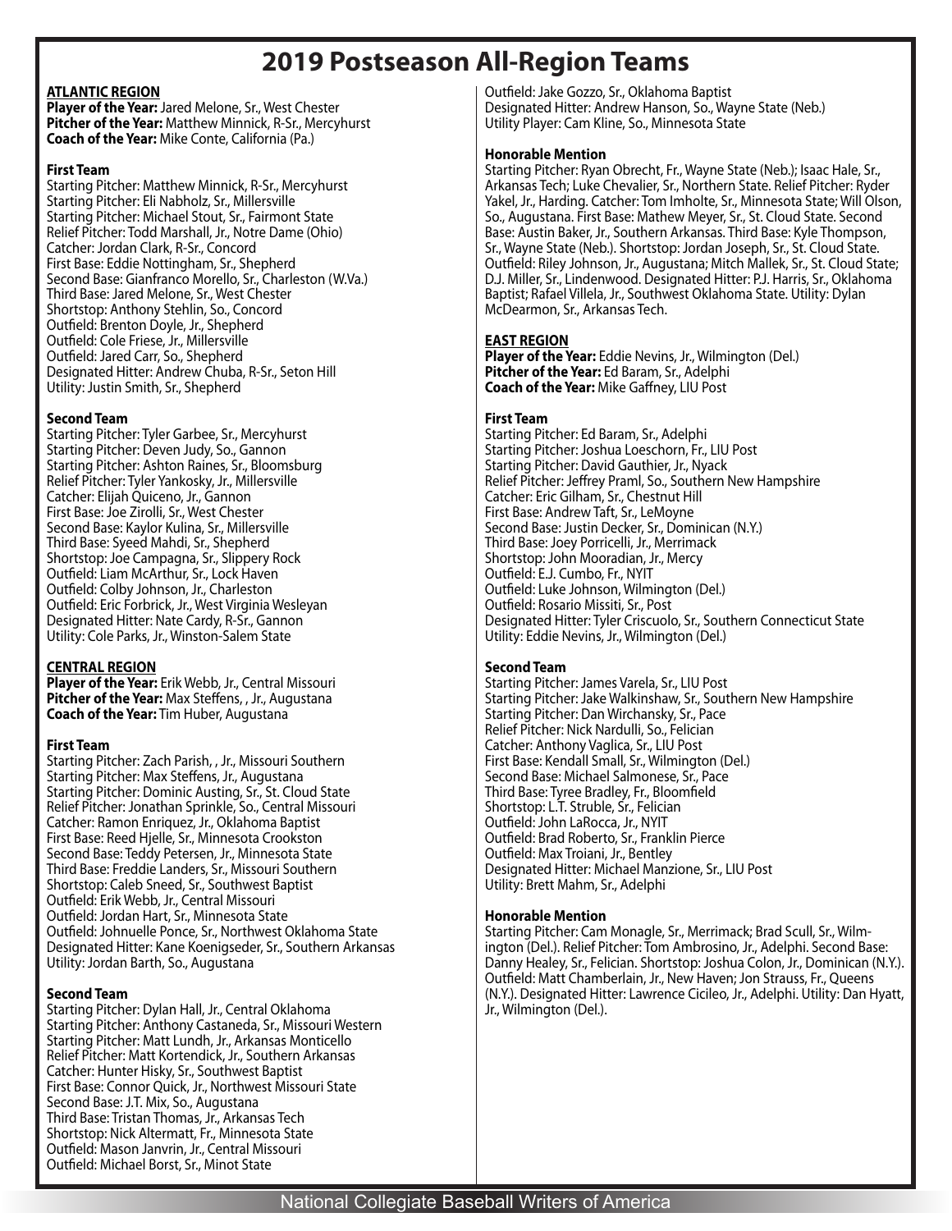## **2019 Postseason All-Region Teams**

#### **ATLANTIC REGION**

**Player of the Year:** Jared Melone, Sr., West Chester **Pitcher of the Year:** Matthew Minnick, R-Sr., Mercyhurst **Coach of the Year:** Mike Conte, California (Pa.)

#### **First Team**

Starting Pitcher: Matthew Minnick, R-Sr., Mercyhurst Starting Pitcher: Eli Nabholz, Sr., Millersville Starting Pitcher: Michael Stout, Sr., Fairmont State Relief Pitcher: Todd Marshall, Jr., Notre Dame (Ohio) Catcher: Jordan Clark, R-Sr., Concord First Base: Eddie Nottingham, Sr., Shepherd Second Base: Gianfranco Morello, Sr., Charleston (W.Va.) Third Base: Jared Melone, Sr., West Chester Shortstop: Anthony Stehlin, So., Concord Outfield: Brenton Doyle, Jr., Shepherd Outfield: Cole Friese, Jr., Millersville Outfield: Jared Carr, So., Shepherd Designated Hitter: Andrew Chuba, R-Sr., Seton Hill Utility: Justin Smith, Sr., Shepherd

### **Second Team**

Starting Pitcher: Tyler Garbee, Sr., Mercyhurst Starting Pitcher: Deven Judy, So., Gannon Starting Pitcher: Ashton Raines, Sr., Bloomsburg Relief Pitcher: Tyler Yankosky, Jr., Millersville Catcher: Elijah Quiceno, Jr., Gannon First Base: Joe Zirolli, Sr., West Chester Second Base: Kaylor Kulina, Sr., Millersville Third Base: Syeed Mahdi, Sr., Shepherd Shortstop: Joe Campagna, Sr., Slippery Rock Outfield: Liam McArthur, Sr., Lock Haven Outfield: Colby Johnson, Jr., Charleston Outfield: Eric Forbrick, Jr., West Virginia Wesleyan Designated Hitter: Nate Cardy, R-Sr., Gannon Utility: Cole Parks, Jr., Winston-Salem State

### **CENTRAL REGION**

**Player of the Year:** Erik Webb, Jr., Central Missouri **Pitcher of the Year:** Max Steffens, , Jr., Augustana **Coach of the Year:** Tim Huber, Augustana

### **First Team**

Starting Pitcher: Zach Parish, , Jr., Missouri Southern Starting Pitcher: Max Steffens, Jr., Augustana Starting Pitcher: Dominic Austing, Sr., St. Cloud State Relief Pitcher: Jonathan Sprinkle, So., Central Missouri Catcher: Ramon Enriquez, Jr., Oklahoma Baptist First Base: Reed Hjelle, Sr., Minnesota Crookston Second Base: Teddy Petersen, Jr., Minnesota State Third Base: Freddie Landers, Sr., Missouri Southern Shortstop: Caleb Sneed, Sr., Southwest Baptist Outfield: Erik Webb, Jr., Central Missouri Outfield: Jordan Hart, Sr., Minnesota State Outfield: Johnuelle Ponce, Sr., Northwest Oklahoma State Designated Hitter: Kane Koenigseder, Sr., Southern Arkansas Utility: Jordan Barth, So., Augustana

#### **Second Team**

Starting Pitcher: Dylan Hall, Jr., Central Oklahoma Starting Pitcher: Anthony Castaneda, Sr., Missouri Western Starting Pitcher: Matt Lundh, Jr., Arkansas Monticello Relief Pitcher: Matt Kortendick, Jr., Southern Arkansas Catcher: Hunter Hisky, Sr., Southwest Baptist First Base: Connor Quick, Jr., Northwest Missouri State Second Base: J.T. Mix, So., Augustana Third Base: Tristan Thomas, Jr., Arkansas Tech Shortstop: Nick Altermatt, Fr., Minnesota State Outfield: Mason Janvrin, Jr., Central Missouri Outfield: Michael Borst, Sr., Minot State

Outfield: Jake Gozzo, Sr., Oklahoma Baptist Designated Hitter: Andrew Hanson, So., Wayne State (Neb.) Utility Player: Cam Kline, So., Minnesota State

#### **Honorable Mention**

Starting Pitcher: Ryan Obrecht, Fr., Wayne State (Neb.); Isaac Hale, Sr., Arkansas Tech; Luke Chevalier, Sr., Northern State. Relief Pitcher: Ryder Yakel, Jr., Harding. Catcher: Tom Imholte, Sr., Minnesota State; Will Olson, So., Augustana. First Base: Mathew Meyer, Sr., St. Cloud State. Second Base: Austin Baker, Jr., Southern Arkansas. Third Base: Kyle Thompson, Sr., Wayne State (Neb.). Shortstop: Jordan Joseph, Sr., St. Cloud State. Outfield: Riley Johnson, Jr., Augustana; Mitch Mallek, Sr., St. Cloud State; D.J. Miller, Sr., Lindenwood. Designated Hitter: P.J. Harris, Sr., Oklahoma Baptist; Rafael Villela, Jr., Southwest Oklahoma State. Utility: Dylan McDearmon, Sr., Arkansas Tech.

#### **EAST REGION**

**Player of the Year:** Eddie Nevins, Jr., Wilmington (Del.) **Pitcher of the Year:** Ed Baram, Sr., Adelphi **Coach of the Year:** Mike Gaffney, LIU Post

#### **First Team**

Starting Pitcher: Ed Baram, Sr., Adelphi Starting Pitcher: Joshua Loeschorn, Fr., LIU Post Starting Pitcher: David Gauthier, Jr., Nyack Relief Pitcher: Jeffrey Praml, So., Southern New Hampshire Catcher: Eric Gilham, Sr., Chestnut Hill First Base: Andrew Taft, Sr., LeMoyne Second Base: Justin Decker, Sr., Dominican (N.Y.) Third Base: Joey Porricelli, Jr., Merrimack Shortstop: John Mooradian, Jr., Mercy Outfield: E.J. Cumbo, Fr., NYIT Outfield: Luke Johnson, Wilmington (Del.) Outfield: Rosario Missiti, Sr., Post Designated Hitter: Tyler Criscuolo, Sr., Southern Connecticut State Utility: Eddie Nevins, Jr., Wilmington (Del.)

### **Second Team**

Starting Pitcher: James Varela, Sr., LIU Post Starting Pitcher: Jake Walkinshaw, Sr., Southern New Hampshire Starting Pitcher: Dan Wirchansky, Sr., Pace Relief Pitcher: Nick Nardulli, So., Felician Catcher: Anthony Vaglica, Sr., LIU Post First Base: Kendall Small, Sr., Wilmington (Del.) Second Base: Michael Salmonese, Sr., Pace Third Base: Tyree Bradley, Fr., Bloomfield Shortstop: L.T. Struble, Sr., Felician Outfield: John LaRocca, Jr., NYIT Outfield: Brad Roberto, Sr., Franklin Pierce Outfield: Max Troiani, Jr., Bentley Designated Hitter: Michael Manzione, Sr., LIU Post Utility: Brett Mahm, Sr., Adelphi

#### **Honorable Mention**

Starting Pitcher: Cam Monagle, Sr., Merrimack; Brad Scull, Sr., Wilmington (Del.). Relief Pitcher: Tom Ambrosino, Jr., Adelphi. Second Base: Danny Healey, Sr., Felician. Shortstop: Joshua Colon, Jr., Dominican (N.Y.). Outfield: Matt Chamberlain, Jr., New Haven; Jon Strauss, Fr., Queens (N.Y.). Designated Hitter: Lawrence Cicileo, Jr., Adelphi. Utility: Dan Hyatt, Jr., Wilmington (Del.).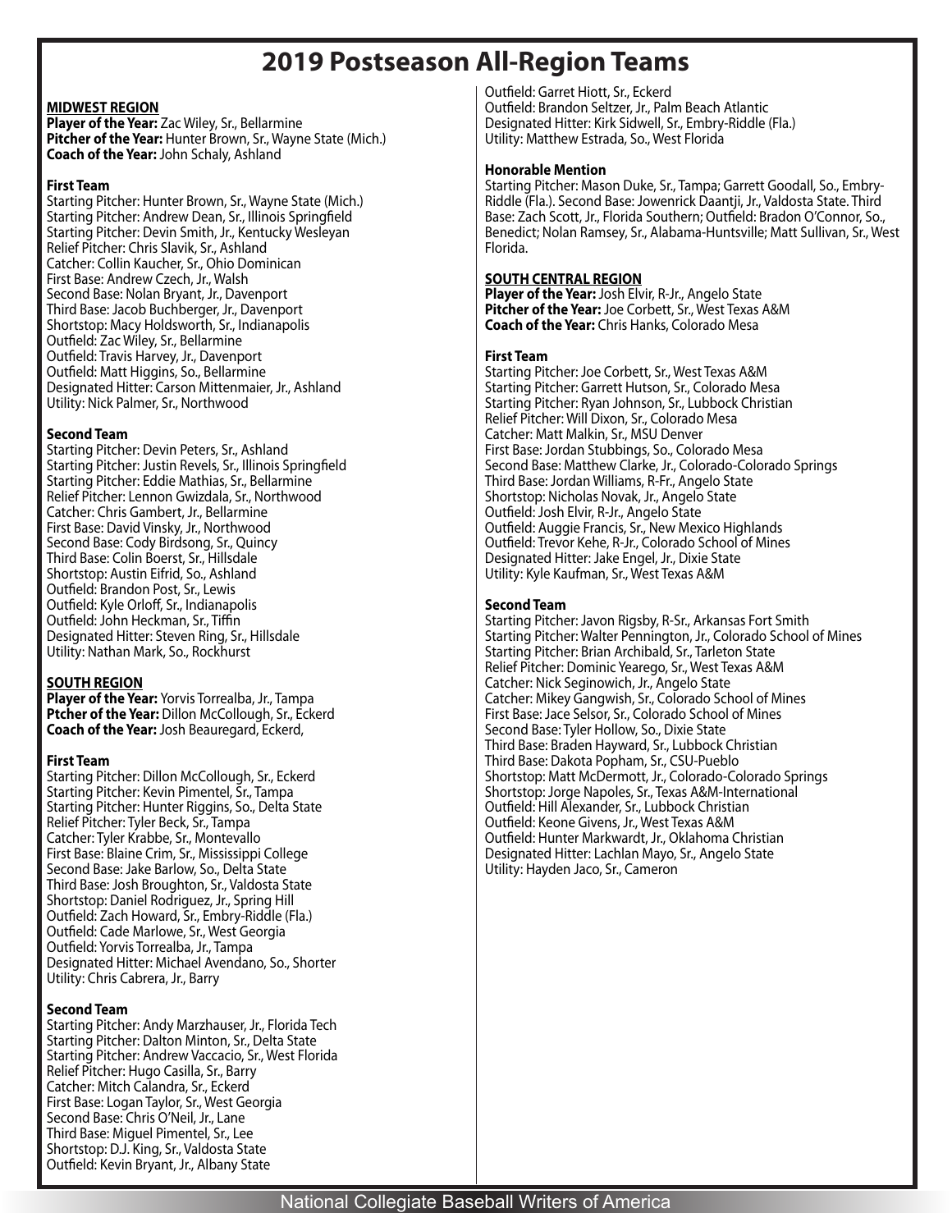### **2019 Postseason All-Region Teams**

### **MIDWEST REGION**

**Player of the Year:** Zac Wiley, Sr., Bellarmine **Pitcher of the Year:** Hunter Brown, Sr., Wayne State (Mich.) **Coach of the Year:** John Schaly, Ashland

#### **First Team**

Starting Pitcher: Hunter Brown, Sr., Wayne State (Mich.) Starting Pitcher: Andrew Dean, Sr., Illinois Springfield Starting Pitcher: Devin Smith, Jr., Kentucky Wesleyan Relief Pitcher: Chris Slavik, Sr., Ashland Catcher: Collin Kaucher, Sr., Ohio Dominican First Base: Andrew Czech, Jr., Walsh Second Base: Nolan Bryant, Jr., Davenport Third Base: Jacob Buchberger, Jr., Davenport Shortstop: Macy Holdsworth, Sr., Indianapolis Outfield: Zac Wiley, Sr., Bellarmine Outfield: Travis Harvey, Jr., Davenport Outfield: Matt Higgins, So., Bellarmine Designated Hitter: Carson Mittenmaier, Jr., Ashland Utility: Nick Palmer, Sr., Northwood

#### **Second Team**

Starting Pitcher: Devin Peters, Sr., Ashland Starting Pitcher: Justin Revels, Sr., Illinois Springfield Starting Pitcher: Eddie Mathias, Sr., Bellarmine Relief Pitcher: Lennon Gwizdala, Sr., Northwood Catcher: Chris Gambert, Jr., Bellarmine First Base: David Vinsky, Jr., Northwood Second Base: Cody Birdsong, Sr., Quincy Third Base: Colin Boerst, Sr., Hillsdale Shortstop: Austin Eifrid, So., Ashland Outfield: Brandon Post, Sr., Lewis Outfield: Kyle Orloff, Sr., Indianapolis Outfield: John Heckman, Sr., Tiffin Designated Hitter: Steven Ring, Sr., Hillsdale Utility: Nathan Mark, So., Rockhurst

### **SOUTH REGION**

**Player of the Year:** Yorvis Torrealba, Jr., Tampa **Ptcher of the Year:** Dillon McCollough, Sr., Eckerd **Coach of the Year:** Josh Beauregard, Eckerd,

### **First Team**

Starting Pitcher: Dillon McCollough, Sr., Eckerd Starting Pitcher: Kevin Pimentel, Sr., Tampa Starting Pitcher: Hunter Riggins, So., Delta State Relief Pitcher: Tyler Beck, Sr., Tampa Catcher: Tyler Krabbe, Sr., Montevallo First Base: Blaine Crim, Sr., Mississippi College Second Base: Jake Barlow, So., Delta State Third Base: Josh Broughton, Sr., Valdosta State Shortstop: Daniel Rodriguez, Jr., Spring Hill Outfield: Zach Howard, Sr., Embry-Riddle (Fla.) Outfield: Cade Marlowe, Sr., West Georgia Outfield: Yorvis Torrealba, Jr., Tampa Designated Hitter: Michael Avendano, So., Shorter Utility: Chris Cabrera, Jr., Barry

### **Second Team**

Starting Pitcher: Andy Marzhauser, Jr., Florida Tech Starting Pitcher: Dalton Minton, Sr., Delta State Starting Pitcher: Andrew Vaccacio, Sr., West Florida Relief Pitcher: Hugo Casilla, Sr., Barry Catcher: Mitch Calandra, Sr., Eckerd First Base: Logan Taylor, Sr., West Georgia Second Base: Chris O'Neil, Jr., Lane Third Base: Miguel Pimentel, Sr., Lee Shortstop: D.J. King, Sr., Valdosta State Outfield: Kevin Bryant, Jr., Albany State

Outfield: Garret Hiott, Sr., Eckerd Outfield: Brandon Seltzer, Jr., Palm Beach Atlantic Designated Hitter: Kirk Sidwell, Sr., Embry-Riddle (Fla.) Utility: Matthew Estrada, So., West Florida

#### **Honorable Mention**

Starting Pitcher: Mason Duke, Sr., Tampa; Garrett Goodall, So., Embry-Riddle (Fla.). Second Base: Jowenrick Daantji, Jr., Valdosta State. Third Base: Zach Scott, Jr., Florida Southern; Outfield: Bradon O'Connor, So., Benedict; Nolan Ramsey, Sr., Alabama-Huntsville; Matt Sullivan, Sr., West Florida.

#### **SOUTH CENTRAL REGION**

**Player of the Year:** Josh Elvir, R-Jr., Angelo State **Pitcher of the Year:** Joe Corbett, Sr., West Texas A&M **Coach of the Year:** Chris Hanks, Colorado Mesa

#### **First Team**

Starting Pitcher: Joe Corbett, Sr., West Texas A&M Starting Pitcher: Garrett Hutson, Sr., Colorado Mesa Starting Pitcher: Ryan Johnson, Sr., Lubbock Christian Relief Pitcher: Will Dixon, Sr., Colorado Mesa Catcher: Matt Malkin, Sr., MSU Denver First Base: Jordan Stubbings, So., Colorado Mesa Second Base: Matthew Clarke, Jr., Colorado-Colorado Springs Third Base: Jordan Williams, R-Fr., Angelo State Shortstop: Nicholas Novak, Jr., Angelo State Outfield: Josh Elvir, R-Jr., Angelo State Outfield: Auggie Francis, Sr., New Mexico Highlands Outfield: Trevor Kehe, R-Jr., Colorado School of Mines Designated Hitter: Jake Engel, Jr., Dixie State Utility: Kyle Kaufman, Sr., West Texas A&M

#### **Second Team**

Starting Pitcher: Javon Rigsby, R-Sr., Arkansas Fort Smith Starting Pitcher: Walter Pennington, Jr., Colorado School of Mines Starting Pitcher: Brian Archibald, Sr., Tarleton State Relief Pitcher: Dominic Yearego, Sr., West Texas A&M Catcher: Nick Seginowich, Jr., Angelo State Catcher: Mikey Gangwish, Sr., Colorado School of Mines First Base: Jace Selsor, Sr., Colorado School of Mines Second Base: Tyler Hollow, So., Dixie State Third Base: Braden Hayward, Sr., Lubbock Christian Third Base: Dakota Popham, Sr., CSU-Pueblo Shortstop: Matt McDermott, Jr., Colorado-Colorado Springs Shortstop: Jorge Napoles, Sr., Texas A&M-International Outfield: Hill Alexander, Sr., Lubbock Christian Outfield: Keone Givens, Jr., West Texas A&M Outfield: Hunter Markwardt, Jr., Oklahoma Christian Designated Hitter: Lachlan Mayo, Sr., Angelo State Utility: Hayden Jaco, Sr., Cameron